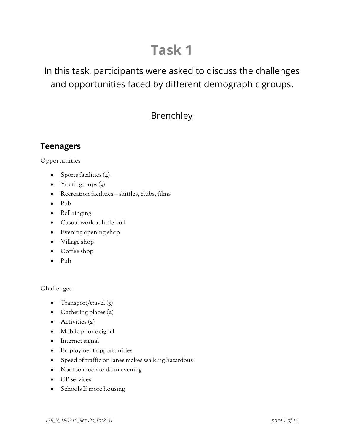# **Task 1**

# In this task, participants were asked to discuss the challenges and opportunities faced by different demographic groups.

# **Brenchley**

# **Teenagers**

Opportunities

- Sports facilities  $(4)$
- Youth groups  $(3)$
- Recreation facilities skittles, clubs, films
- Pub
- Bell ringing
- Casual work at little bull
- Evening opening shop
- Village shop
- Coffee shop
- Pub

- Transport/travel  $(3)$
- Gathering places  $(2)$
- $\bullet$  Activities  $(2)$
- Mobile phone signal
- Internet signal
- Employment opportunities
- Speed of traffic on lanes makes walking hazardous
- Not too much to do in evening
- GP services
- Schools If more housing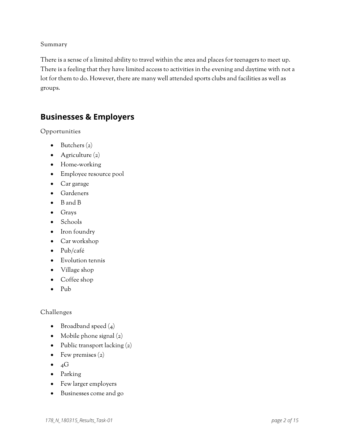There is a sense of a limited ability to travel within the area and places for teenagers to meet up. There is a feeling that they have limited access to activities in the evening and daytime with not a lot for them to do. However, there are many well attended sports clubs and facilities as well as groups.

### **Businesses & Employers**

Opportunities

- $\bullet$  Butchers  $(z)$
- Agriculture  $(z)$
- Home-working
- Employee resource pool
- Car garage
- Gardeners
- B and B
- Grays
- Schools
- Iron foundry
- Car workshop
- Pub/café
- Evolution tennis
- Village shop
- Coffee shop
- Pub

- Broadband speed  $(4)$
- Mobile phone signal  $(2)$
- Public transport lacking  $(2)$
- Few premises  $(z)$
- $\bullet$  4G
- Parking
- Few larger employers
- Businesses come and go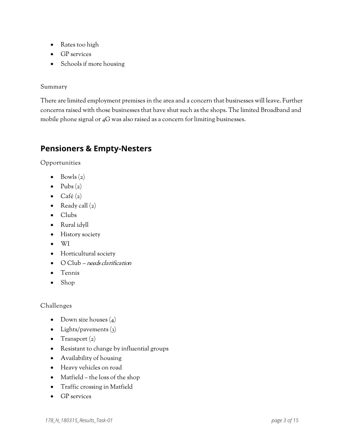- Rates too high
- GP services
- Schools if more housing

There are limited employment premises in the area and a concern that businesses will leave. Further concerns raised with those businesses that have shut such as the shops. The limited Broadband and mobile phone signal or 4G was also raised as a concern for limiting businesses.

# **Pensioners & Empty-Nesters**

Opportunities

- Bowls  $(z)$
- Pubs  $(z)$
- Café $(z)$
- Ready call  $(z)$
- Clubs
- Rural idyll
- History society
- WI
- Horticultural society
- O Club needs clarification
- Tennis
- Shop

- Down size houses  $(4)$
- Lights/pavements  $(3)$
- Transport  $(z)$
- Resistant to change by influential groups
- Availability of housing
- Heavy vehicles on road
- Matfield the loss of the shop
- Traffic crossing in Matfield
- GP services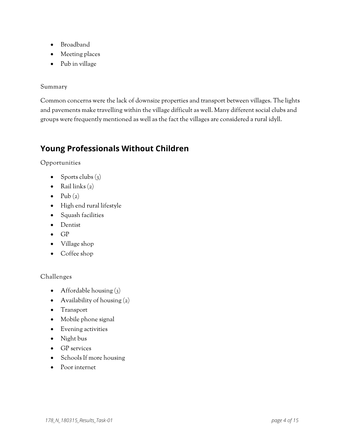- Broadband
- Meeting places
- Pub in village

Common concerns were the lack of downsize properties and transport between villages. The lights and pavements make travelling within the village difficult as well. Many different social clubs and groups were frequently mentioned as well as the fact the villages are considered a rural idyll.

# **Young Professionals Without Children**

Opportunities

- Sports clubs  $(3)$
- Rail links  $(z)$
- Pub  $(2)$
- High end rural lifestyle
- Squash facilities
- Dentist
- GP
- Village shop
- Coffee shop

- Affordable housing  $(3)$
- Availability of housing  $(2)$
- Transport
- Mobile phone signal
- Evening activities
- Night bus
- GP services
- Schools If more housing
- Poor internet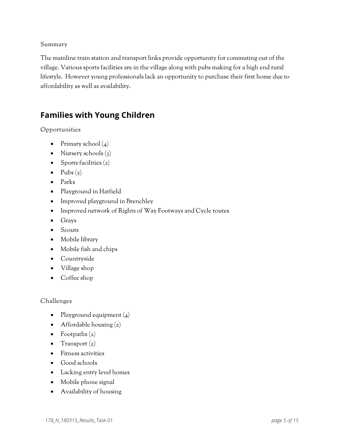The mainline train station and transport links provide opportunity for commuting out of the village. Various sports facilities are in the village along with pubs making for a high end rural lifestyle. However young professionals lack an opportunity to purchase their first home due to affordability as well as availability.

# **Families with Young Children**

Opportunities

- Primary school  $(4)$
- Nursery schools (3)
- Sports facilities  $(2)$
- Pubs  $(2)$
- Parks
- Playground in Hatfield
- Improved playground in Brenchley
- Improved network of Rights of Way Footways and Cycle routes
- Grays
- Scouts
- Mobile library
- Mobile fish and chips
- Countryside
- Village shop
- Coffee shop

- Playground equipment  $(4)$
- Affordable housing  $(2)$
- Footpaths  $(z)$
- Transport  $(z)$
- Fitness activities
- Good schools
- Lacking entry level homes
- Mobile phone signal
- Availability of housing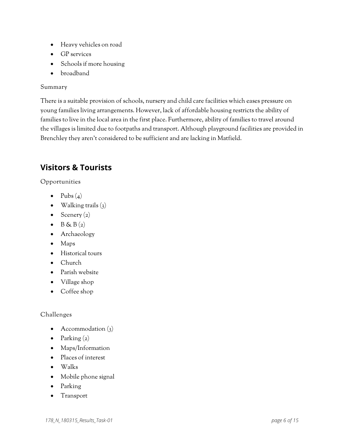- Heavy vehicles on road
- GP services
- Schools if more housing
- broadband

There is a suitable provision of schools, nursery and child care facilities which eases pressure on young families living arrangements. However, lack of affordable housing restricts the ability of families to live in the local area in the first place. Furthermore, ability of families to travel around the villages is limited due to footpaths and transport. Although playground facilities are provided in Brenchley they aren't considered to be sufficient and are lacking in Matfield.

# **Visitors & Tourists**

### Opportunities

- Pubs  $(4)$
- Walking trails  $(3)$
- Scenery  $(2)$
- $\bullet$  B & B  $(2)$
- Archaeology
- Maps
- Historical tours
- Church
- Parish website
- Village shop
- Coffee shop

- Accommodation (3)
- Parking  $(z)$
- Maps/Information
- Places of interest
- Walks
- Mobile phone signal
- Parking
- Transport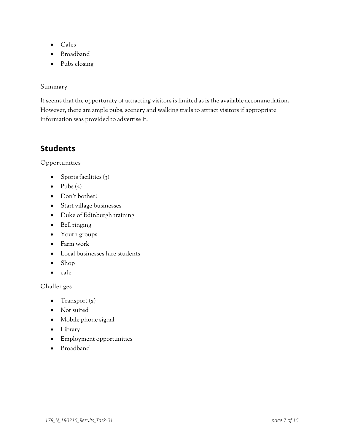- Cafes
- Broadband
- Pubs closing

It seems that the opportunity of attracting visitors is limited as is the available accommodation. However, there are ample pubs, scenery and walking trails to attract visitors if appropriate information was provided to advertise it.

# **Students**

### Opportunities

- Sports facilities  $(3)$
- Pubs  $(z)$
- Don't bother!
- Start village businesses
- Duke of Edinburgh training
- Bell ringing
- Youth groups
- Farm work
- Local businesses hire students
- Shop
- cafe

- Transport  $(z)$
- Not suited
- Mobile phone signal
- Library
- Employment opportunities
- Broadband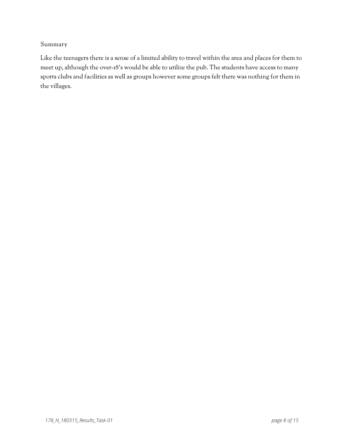Like the teenagers there is a sense of a limited ability to travel within the area and places for them to meet up, although the over-18's would be able to utilize the pub. The students have access to many sports clubs and facilities as well as groups however some groups felt there was nothing for them in the villages.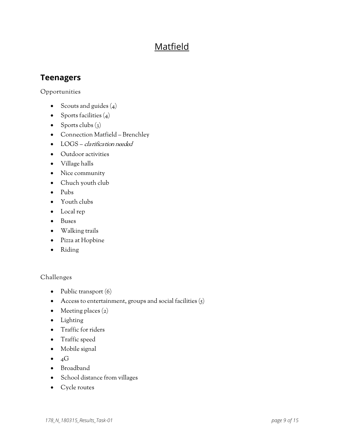# Matfield

# **Teenagers**

Opportunities

- Scouts and guides  $(4)$
- Sports facilities  $(4)$
- Sports clubs  $(3)$
- Connection Matfield Brenchley
- LOGS clarification needed
- Outdoor activities
- Village halls
- Nice community
- Chuch youth club
- Pubs
- Youth clubs
- Local rep
- Buses
- Walking trails
- Pizza at Hopbine
- Riding

- Public transport (6)
- Access to entertainment, groups and social facilities  $(5)$
- Meeting places (2)
- Lighting
- Traffic for riders
- Traffic speed
- Mobile signal
- $\bullet$  4G
- Broadband
- School distance from villages
- Cycle routes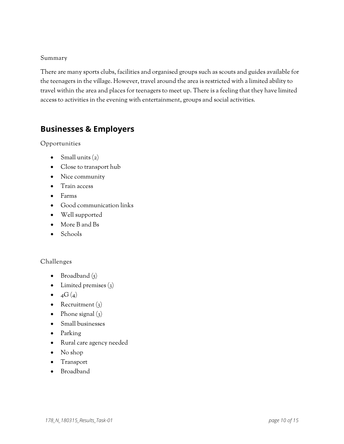There are many sports clubs, facilities and organised groups such as scouts and guides available for the teenagers in the village. However, travel around the area is restricted with a limited ability to travel within the area and places for teenagers to meet up. There is a feeling that they have limited access to activities in the evening with entertainment, groups and social activities.

# **Businesses & Employers**

Opportunities

- Small units  $(z)$
- Close to transport hub
- Nice community
- Train access
- Farms
- Good communication links
- Well supported
- More B and Bs
- Schools

- Broadband  $(5)$
- Limited premises  $(3)$
- $4G(4)$
- Recruitment  $(3)$
- Phone signal  $(3)$
- Small businesses
- Parking
- Rural care agency needed
- No shop
- Transport
- Broadband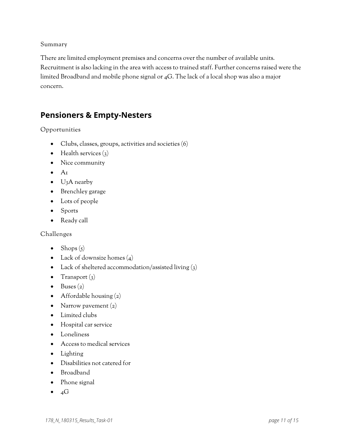There are limited employment premises and concerns over the number of available units. Recruitment is also lacking in the area with access to trained staff. Further concerns raised were the limited Broadband and mobile phone signal or 4G. The lack of a local shop was also a major concern.

# **Pensioners & Empty-Nesters**

### Opportunities

- Clubs, classes, groups, activities and societies (6)
- Health services  $(3)$
- Nice community
- $\bullet$  A<sub>1</sub>
- U<sub>3</sub>A nearby
- Brenchley garage
- Lots of people
- Sports
- Ready call

- Shops  $(5)$
- Lack of downsize homes (4)
- Lack of sheltered accommodation/assisted living (3)
- Transport  $(3)$
- Buses  $(z)$
- Affordable housing (2)
- Narrow pavement  $(2)$
- Limited clubs
- Hospital car service
- Loneliness
- Access to medical services
- Lighting
- Disabilities not catered for
- Broadband
- Phone signal
- $\bullet$  4G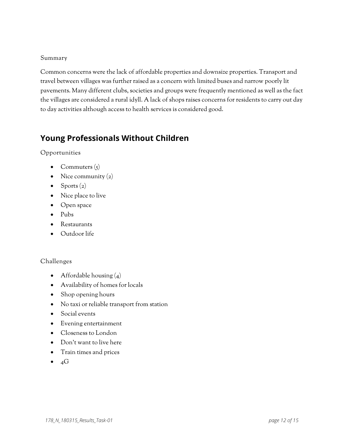Common concerns were the lack of affordable properties and downsize properties. Transport and travel between villages was further raised as a concern with limited buses and narrow poorly lit pavements. Many different clubs, societies and groups were frequently mentioned as well as the fact the villages are considered a rural idyll. A lack of shops raises concerns for residents to carry out day to day activities although access to health services is considered good.

# **Young Professionals Without Children**

Opportunities

- Commuters  $(s)$
- Nice community  $(2)$
- Sports  $(z)$
- Nice place to live
- Open space
- Pubs
- Restaurants
- Outdoor life

- Affordable housing  $(4)$
- Availability of homes for locals
- Shop opening hours
- No taxi or reliable transport from station
- Social events
- Evening entertainment
- Closeness to London
- Don't want to live here
- Train times and prices
- $\bullet$  4G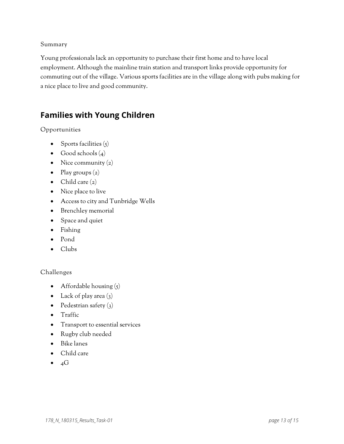Young professionals lack an opportunity to purchase their first home and to have local employment. Although the mainline train station and transport links provide opportunity for commuting out of the village. Various sports facilities are in the village along with pubs making for a nice place to live and good community.

# **Families with Young Children**

Opportunities

- Sports facilities  $(5)$
- Good schools  $(4)$
- Nice community  $(2)$
- Play groups  $(z)$
- Child care  $(2)$
- Nice place to live
- Access to city and Tunbridge Wells
- Brenchley memorial
- Space and quiet
- Fishing
- Pond
- Clubs

- Affordable housing  $(5)$
- Lack of play area  $(3)$
- Pedestrian safety  $(3)$
- Traffic
- Transport to essential services
- Rugby club needed
- Bike lanes
- Child care
- $\bullet$  4G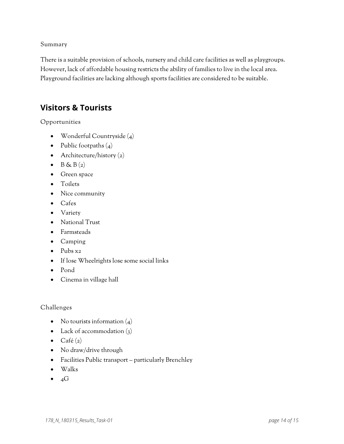There is a suitable provision of schools, nursery and child care facilities as well as playgroups. However, lack of affordable housing restricts the ability of families to live in the local area. Playground facilities are lacking although sports facilities are considered to be suitable.

### **Visitors & Tourists**

Opportunities

- Wonderful Countryside (4)
- Public footpaths  $(4)$
- Architecture/history (2)
- $\bullet$  B & B(2)
- Green space
- Toilets
- Nice community
- Cafes
- Variety
- National Trust
- Farmsteads
- Camping
- Pubs x2
- If lose Wheelrights lose some social links
- Pond
- Cinema in village hall

- No tourists information  $(4)$
- Lack of accommodation (3)
- $\bullet$  Café (2)
- No draw/drive through
- Facilities Public transport particularly Brenchley
- Walks
- $\bullet$  4G